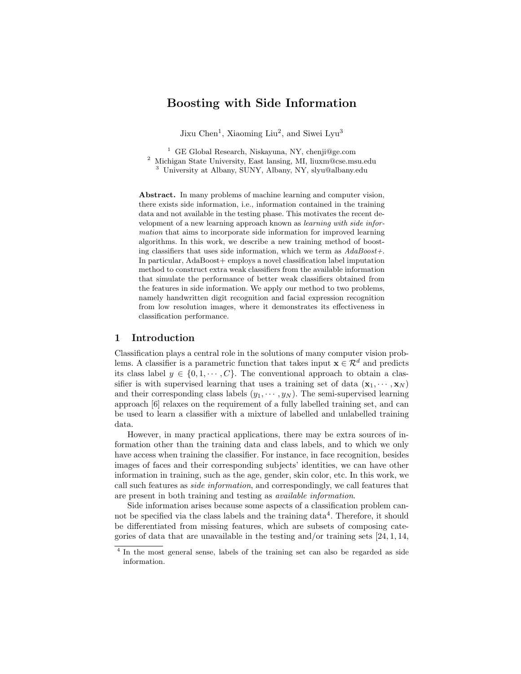# Boosting with Side Information

Jixu Chen<sup>1</sup>, Xiaoming Liu<sup>2</sup>, and Siwei Lyu<sup>3</sup>

<sup>1</sup> GE Global Research, Niskayuna, NY, chenji@ge.com <sup>2</sup> Michigan State University, East lansing, MI, liuxm@cse.msu.edu

<sup>3</sup> University at Albany, SUNY, Albany, NY, slyu@albany.edu

Abstract. In many problems of machine learning and computer vision, there exists side information, i.e., information contained in the training data and not available in the testing phase. This motivates the recent development of a new learning approach known as learning with side information that aims to incorporate side information for improved learning algorithms. In this work, we describe a new training method of boosting classifiers that uses side information, which we term as  $AdaBoost +$ . In particular, AdaBoost+ employs a novel classification label imputation method to construct extra weak classifiers from the available information that simulate the performance of better weak classifiers obtained from the features in side information. We apply our method to two problems, namely handwritten digit recognition and facial expression recognition from low resolution images, where it demonstrates its effectiveness in classification performance.

### 1 Introduction

Classification plays a central role in the solutions of many computer vision problems. A classifier is a parametric function that takes input  $\mathbf{x} \in \mathbb{R}^d$  and predicts its class label  $y \in \{0, 1, \dots, C\}$ . The conventional approach to obtain a classifier is with supervised learning that uses a training set of data  $(\mathbf{x}_1, \dots, \mathbf{x}_N)$ and their corresponding class labels  $(y_1, \dots, y_N)$ . The semi-supervised learning approach [6] relaxes on the requirement of a fully labelled training set, and can be used to learn a classifier with a mixture of labelled and unlabelled training data.

However, in many practical applications, there may be extra sources of information other than the training data and class labels, and to which we only have access when training the classifier. For instance, in face recognition, besides images of faces and their corresponding subjects' identities, we can have other information in training, such as the age, gender, skin color, etc. In this work, we call such features as side information, and correspondingly, we call features that are present in both training and testing as available information.

Side information arises because some aspects of a classification problem cannot be specified via the class labels and the training data<sup>4</sup>. Therefore, it should be differentiated from missing features, which are subsets of composing categories of data that are unavailable in the testing and/or training sets [24, 1, 14,

<sup>&</sup>lt;sup>4</sup> In the most general sense, labels of the training set can also be regarded as side information.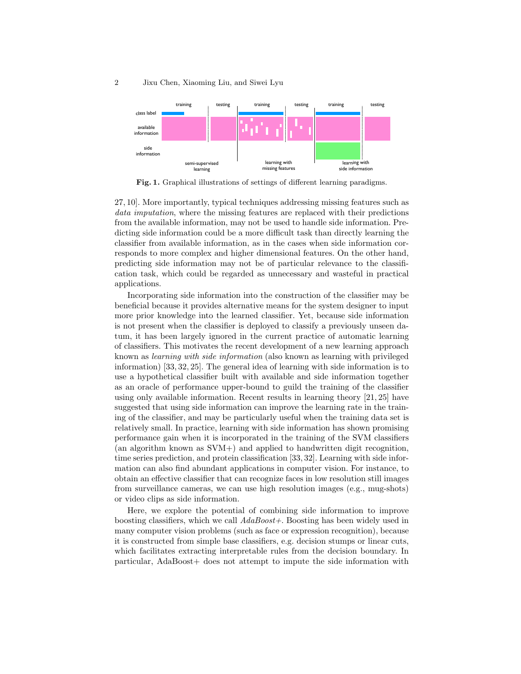#### 2 Jixu Chen, Xiaoming Liu, and Siwei Lyu



Fig. 1. Graphical illustrations of settings of different learning paradigms.

27, 10]. More importantly, typical techniques addressing missing features such as data imputation, where the missing features are replaced with their predictions from the available information, may not be used to handle side information. Predicting side information could be a more difficult task than directly learning the classifier from available information, as in the cases when side information corresponds to more complex and higher dimensional features. On the other hand, predicting side information may not be of particular relevance to the classification task, which could be regarded as unnecessary and wasteful in practical applications.

Incorporating side information into the construction of the classifier may be beneficial because it provides alternative means for the system designer to input more prior knowledge into the learned classifier. Yet, because side information is not present when the classifier is deployed to classify a previously unseen datum, it has been largely ignored in the current practice of automatic learning of classifiers. This motivates the recent development of a new learning approach known as learning with side information (also known as learning with privileged information) [33, 32, 25]. The general idea of learning with side information is to use a hypothetical classifier built with available and side information together as an oracle of performance upper-bound to guild the training of the classifier using only available information. Recent results in learning theory [21, 25] have suggested that using side information can improve the learning rate in the training of the classifier, and may be particularly useful when the training data set is relatively small. In practice, learning with side information has shown promising performance gain when it is incorporated in the training of the SVM classifiers (an algorithm known as SVM+) and applied to handwritten digit recognition, time series prediction, and protein classification [33, 32]. Learning with side information can also find abundant applications in computer vision. For instance, to obtain an effective classifier that can recognize faces in low resolution still images from surveillance cameras, we can use high resolution images (e.g., mug-shots) or video clips as side information.

Here, we explore the potential of combining side information to improve boosting classifiers, which we call  $AdaBoost +$ . Boosting has been widely used in many computer vision problems (such as face or expression recognition), because it is constructed from simple base classifiers, e.g. decision stumps or linear cuts, which facilitates extracting interpretable rules from the decision boundary. In particular, AdaBoost+ does not attempt to impute the side information with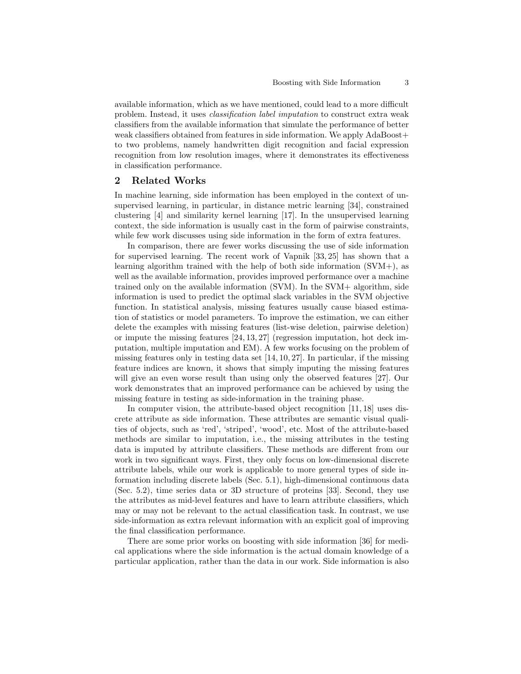available information, which as we have mentioned, could lead to a more difficult problem. Instead, it uses classification label imputation to construct extra weak classifiers from the available information that simulate the performance of better weak classifiers obtained from features in side information. We apply AdaBoost+ to two problems, namely handwritten digit recognition and facial expression recognition from low resolution images, where it demonstrates its effectiveness in classification performance.

## 2 Related Works

In machine learning, side information has been employed in the context of unsupervised learning, in particular, in distance metric learning [34], constrained clustering [4] and similarity kernel learning [17]. In the unsupervised learning context, the side information is usually cast in the form of pairwise constraints, while few work discusses using side information in the form of extra features.

In comparison, there are fewer works discussing the use of side information for supervised learning. The recent work of Vapnik [33, 25] has shown that a learning algorithm trained with the help of both side information (SVM+), as well as the available information, provides improved performance over a machine trained only on the available information (SVM). In the SVM+ algorithm, side information is used to predict the optimal slack variables in the SVM objective function. In statistical analysis, missing features usually cause biased estimation of statistics or model parameters. To improve the estimation, we can either delete the examples with missing features (list-wise deletion, pairwise deletion) or impute the missing features [24, 13, 27] (regression imputation, hot deck imputation, multiple imputation and EM). A few works focusing on the problem of missing features only in testing data set [14, 10, 27]. In particular, if the missing feature indices are known, it shows that simply imputing the missing features will give an even worse result than using only the observed features [27]. Our work demonstrates that an improved performance can be achieved by using the missing feature in testing as side-information in the training phase.

In computer vision, the attribute-based object recognition [11, 18] uses discrete attribute as side information. These attributes are semantic visual qualities of objects, such as 'red', 'striped', 'wood', etc. Most of the attribute-based methods are similar to imputation, i.e., the missing attributes in the testing data is imputed by attribute classifiers. These methods are different from our work in two significant ways. First, they only focus on low-dimensional discrete attribute labels, while our work is applicable to more general types of side information including discrete labels (Sec. 5.1), high-dimensional continuous data (Sec. 5.2), time series data or 3D structure of proteins [33]. Second, they use the attributes as mid-level features and have to learn attribute classifiers, which may or may not be relevant to the actual classification task. In contrast, we use side-information as extra relevant information with an explicit goal of improving the final classification performance.

There are some prior works on boosting with side information [36] for medical applications where the side information is the actual domain knowledge of a particular application, rather than the data in our work. Side information is also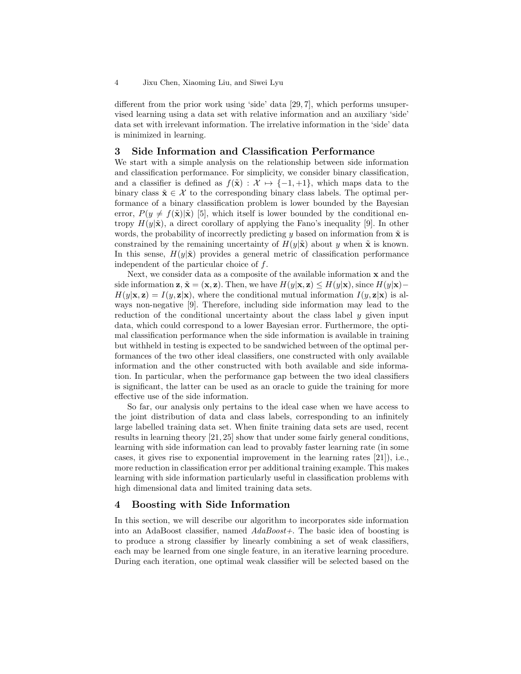different from the prior work using 'side' data [29, 7], which performs unsupervised learning using a data set with relative information and an auxiliary 'side' data set with irrelevant information. The irrelative information in the 'side' data is minimized in learning.

### 3 Side Information and Classification Performance

We start with a simple analysis on the relationship between side information and classification performance. For simplicity, we consider binary classification, and a classifier is defined as  $f(\tilde{\mathbf{x}}) : \mathcal{X} \mapsto \{-1, +1\}$ , which maps data to the binary class  $\tilde{\mathbf{x}} \in \mathcal{X}$  to the corresponding binary class labels. The optimal performance of a binary classification problem is lower bounded by the Bayesian error,  $P(y \neq f(\tilde{\mathbf{x}})|\tilde{\mathbf{x}})$  [5], which itself is lower bounded by the conditional entropy  $H(y|\tilde{x})$ , a direct corollary of applying the Fano's inequality [9]. In other words, the probability of incorrectly predicting y based on information from  $\tilde{\mathbf{x}}$  is constrained by the remaining uncertainty of  $H(y|\tilde{\mathbf{x}})$  about y when  $\tilde{\mathbf{x}}$  is known. In this sense,  $H(y|\tilde{x})$  provides a general metric of classification performance independent of the particular choice of f.

Next, we consider data as a composite of the available information x and the side information **z**,  $\tilde{\mathbf{x}} = (\mathbf{x}, \mathbf{z})$ . Then, we have  $H(y|\mathbf{x}, \mathbf{z}) \leq H(y|\mathbf{x})$ , since  $H(y|\mathbf{x})$ –  $H(y|\mathbf{x}, \mathbf{z}) = I(y, \mathbf{z}|\mathbf{x})$ , where the conditional mutual information  $I(y, \mathbf{z}|\mathbf{x})$  is always non-negative [9]. Therefore, including side information may lead to the reduction of the conditional uncertainty about the class label  $y$  given input data, which could correspond to a lower Bayesian error. Furthermore, the optimal classification performance when the side information is available in training but withheld in testing is expected to be sandwiched between of the optimal performances of the two other ideal classifiers, one constructed with only available information and the other constructed with both available and side information. In particular, when the performance gap between the two ideal classifiers is significant, the latter can be used as an oracle to guide the training for more effective use of the side information.

So far, our analysis only pertains to the ideal case when we have access to the joint distribution of data and class labels, corresponding to an infinitely large labelled training data set. When finite training data sets are used, recent results in learning theory [21, 25] show that under some fairly general conditions, learning with side information can lead to provably faster learning rate (in some cases, it gives rise to exponential improvement in the learning rates [21]), i.e., more reduction in classification error per additional training example. This makes learning with side information particularly useful in classification problems with high dimensional data and limited training data sets.

# 4 Boosting with Side Information

In this section, we will describe our algorithm to incorporates side information into an AdaBoost classifier, named  $AdaBoost +$ . The basic idea of boosting is to produce a strong classifier by linearly combining a set of weak classifiers, each may be learned from one single feature, in an iterative learning procedure. During each iteration, one optimal weak classifier will be selected based on the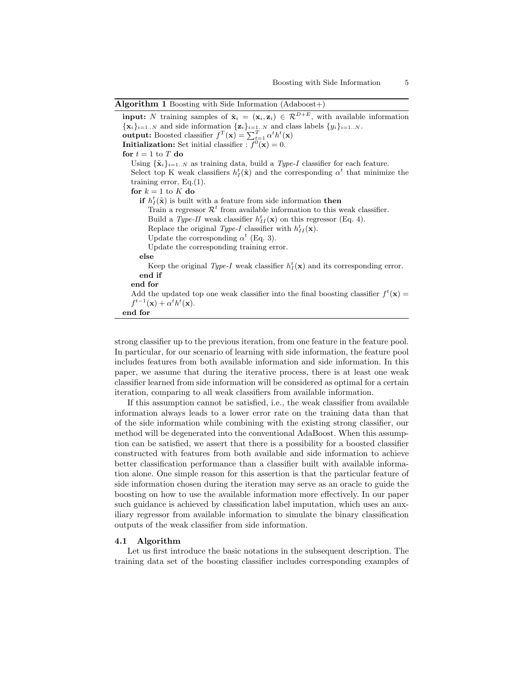Algorithm 1 Boosting with Side Information  $(Adaboost+)$ 

**input:** N training samples of  $\tilde{\mathbf{x}}_i = (\mathbf{x}_i, \mathbf{z}_i) \in \mathcal{R}^{D+E}$ , with available information  ${x_i}_{i=1..N}$  and side information  ${z_i}_{i=1..N}$  and class labels  ${y_i}_{i=1..N}$ . output: Boosted classifier  $f^T(\mathbf{x}) = \sum_{t=1}^T \alpha^t h^t(\mathbf{x})$ **Initialization:** Set initial classifier :  $f^0(\mathbf{x}) = 0$ . for  $t = 1$  to T do Using  $\{\tilde{\mathbf{x}}_i\}_{i=1..N}$  as training data, build a Type-I classifier for each feature. Select top K weak classifiers  $h_I^t(\tilde{\mathbf{x}})$  and the corresponding  $\alpha^t$  that minimize the training error,  $Eq.(1)$ . for  $k = 1$  to K do **if**  $h_I^t(\tilde{\mathbf{x}})$  is built with a feature from side information **then** Train a regressor  $\mathcal{R}^t$  from available information to this weak classifier. Build a Type-II weak classifier  $h_{II}^t(\mathbf{x})$  on this regressor (Eq. 4). Replace the original Type-I classifier with  $h_{II}^{t}(\mathbf{x})$ . Update the corresponding  $\alpha^t$  (Eq. 3). Update the corresponding training error. else Keep the original Type-I weak classifier  $h_I^t(\mathbf{x})$  and its corresponding error. end if end for Add the updated top one weak classifier into the final boosting classifier  $f^t(\mathbf{x}) =$  $f^{t-1}(\mathbf{x}) + \alpha^t h^t(\mathbf{x}).$ end for

strong classifier up to the previous iteration, from one feature in the feature pool. In particular, for our scenario of learning with side information, the feature pool includes features from both available information and side information. In this paper, we assume that during the iterative process, there is at least one weak classifier learned from side information will be considered as optimal for a certain iteration, comparing to all weak classifiers from available information.

If this assumption cannot be satisfied, i.e., the weak classifier from available information always leads to a lower error rate on the training data than that of the side information while combining with the existing strong classifier, our method will be degenerated into the conventional AdaBoost. When this assumption can be satisfied, we assert that there is a possibility for a boosted classifier constructed with features from both available and side information to achieve better classification performance than a classifier built with available information alone. One simple reason for this assertion is that the particular feature of side information chosen during the iteration may serve as an oracle to guide the boosting on how to use the available information more effectively. In our paper such guidance is achieved by classification label imputation, which uses an auxiliary regressor from available information to simulate the binary classification outputs of the weak classifier from side information.

#### 4.1 Algorithm

Let us first introduce the basic notations in the subsequent description. The training data set of the boosting classifier includes corresponding examples of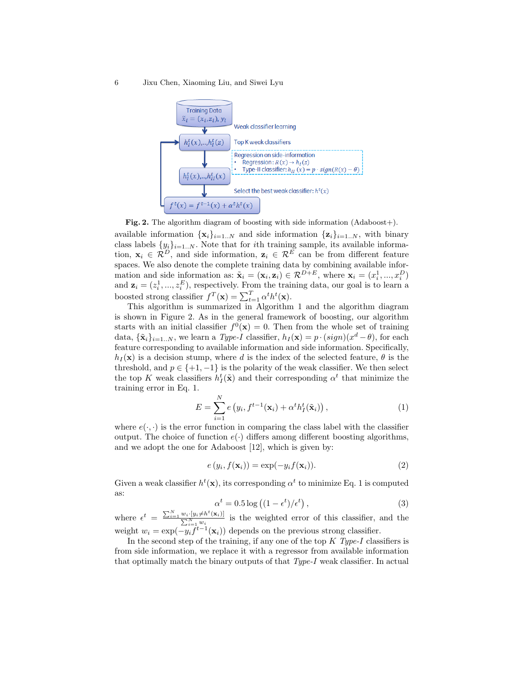6 Jixu Chen, Xiaoming Liu, and Siwei Lyu



Fig. 2. The algorithm diagram of boosting with side information (Adaboost+).

available information  $\{x_i\}_{i=1..N}$  and side information  $\{z_i\}_{i=1..N}$ , with binary class labels  $\{y_i\}_{i=1..N}$ . Note that for *i*th training sample, its available information,  $\mathbf{x}_i \in \mathcal{R}^D$ , and side information,  $\mathbf{z}_i \in \mathcal{R}^E$  can be from different feature spaces. We also denote the complete training data by combining available information and side information as:  $\tilde{\mathbf{x}}_i = (\mathbf{x}_i, \mathbf{z}_i) \in \mathcal{R}^{D+E}$ , where  $\mathbf{x}_i = (x_i^1, ..., x_i^D)$ and  $\mathbf{z}_i = (z_i^1, ..., z_i^E)$ , respectively. From the training data, our goal is to learn a boosted strong classifier  $f^T(\mathbf{x}) = \sum_{t=1}^T \alpha^t h^t(\mathbf{x})$ .

This algorithm is summarized in Algorithm 1 and the algorithm diagram is shown in Figure 2. As in the general framework of boosting, our algorithm starts with an initial classifier  $f^0(\mathbf{x}) = 0$ . Then from the whole set of training data,  $\{\tilde{\mathbf{x}}_i\}_{i=1..N}$ , we learn a *Type-I* classifier,  $h_I(\mathbf{x}) = p \cdot (sign)(x^d - \theta)$ , for each feature corresponding to available information and side information. Specifically,  $h_I(\mathbf{x})$  is a decision stump, where d is the index of the selected feature,  $\theta$  is the threshold, and  $p \in \{+1, -1\}$  is the polarity of the weak classifier. We then select the top K weak classifiers  $h_I^t(\tilde{\mathbf{x}})$  and their corresponding  $\alpha^t$  that minimize the training error in Eq. 1.

$$
E = \sum_{i=1}^{N} e\left(y_i, f^{t-1}(\mathbf{x}_i) + \alpha^t h_I^t(\tilde{\mathbf{x}}_i)\right),\tag{1}
$$

where  $e(\cdot, \cdot)$  is the error function in comparing the class label with the classifier output. The choice of function  $e(\cdot)$  differs among different boosting algorithms, and we adopt the one for Adaboost [12], which is given by:

$$
e(y_i, f(\mathbf{x}_i)) = \exp(-y_i f(\mathbf{x}_i)).
$$
\n(2)

Given a weak classifier  $h^t(\mathbf{x})$ , its corresponding  $\alpha^t$  to minimize Eq. 1 is computed as:

$$
\alpha^t = 0.5 \log \left( (1 - \epsilon^t) / \epsilon^t \right),\tag{3}
$$

where  $\epsilon^t = \frac{\sum_{i=1}^N w_i \cdot [y_i \neq h^t(\mathbf{x}_i)]}{\sum_{i=1}^N w_i}$  $\frac{w_i \cdot |y_i \neq h(x_i)|}{\sum_{i=1}^N w_i}$  is the weighted error of this classifier, and the weight  $w_i = \exp(-y_i \tilde{f}^{t-1}(\mathbf{x}_i))$  depends on the previous strong classifier.

In the second step of the training, if any one of the top  $K$  Type-I classifiers is from side information, we replace it with a regressor from available information that optimally match the binary outputs of that Type-I weak classifier. In actual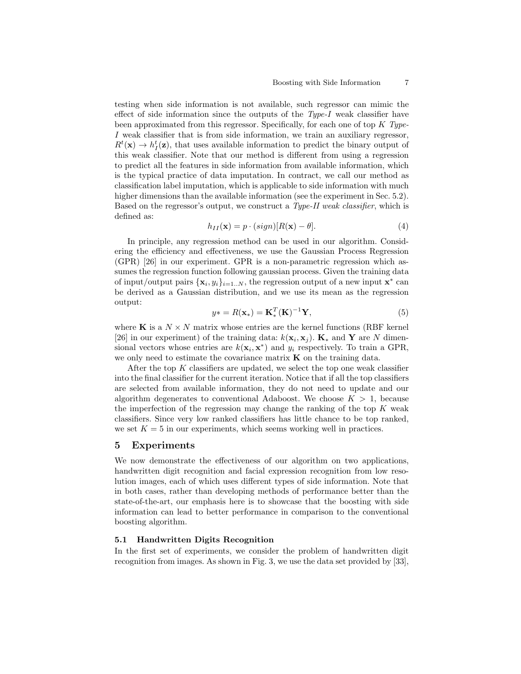testing when side information is not available, such regressor can mimic the effect of side information since the outputs of the  $Type-I$  weak classifier have been approximated from this regressor. Specifically, for each one of top  $K$  Type-I weak classifier that is from side information, we train an auxiliary regressor,  $R^t(\mathbf{x}) \to h_I^t(\mathbf{z})$ , that uses available information to predict the binary output of this weak classifier. Note that our method is different from using a regression to predict all the features in side information from available information, which is the typical practice of data imputation. In contract, we call our method as classification label imputation, which is applicable to side information with much higher dimensions than the available information (see the experiment in Sec. 5.2). Based on the regressor's output, we construct a Type-II weak classifier, which is defined as:

$$
h_{II}(\mathbf{x}) = p \cdot (sign)[R(\mathbf{x}) - \theta]. \tag{4}
$$

In principle, any regression method can be used in our algorithm. Considering the efficiency and effectiveness, we use the Gaussian Process Regression (GPR) [26] in our experiment. GPR is a non-parametric regression which assumes the regression function following gaussian process. Given the training data of input/output pairs  $\{x_i, y_i\}_{i=1..N}$ , the regression output of a new input  $x^*$  can be derived as a Gaussian distribution, and we use its mean as the regression output:

$$
y* = R(\mathbf{x}_*) = \mathbf{K}_*^T(\mathbf{K})^{-1}\mathbf{Y},\tag{5}
$$

where **K** is a  $N \times N$  matrix whose entries are the kernel functions (RBF kernel [26] in our experiment) of the training data:  $k(\mathbf{x}_i, \mathbf{x}_j)$ .  $\mathbf{K}_{*}$  and Y are N dimensional vectors whose entries are  $k(\mathbf{x}_i, \mathbf{x}^*)$  and  $y_i$  respectively. To train a GPR, we only need to estimate the covariance matrix  $\bf{K}$  on the training data.

After the top  $K$  classifiers are updated, we select the top one weak classifier into the final classifier for the current iteration. Notice that if all the top classifiers are selected from available information, they do not need to update and our algorithm degenerates to conventional Adaboost. We choose  $K > 1$ , because the imperfection of the regression may change the ranking of the top  $K$  weak classifiers. Since very low ranked classifiers has little chance to be top ranked, we set  $K = 5$  in our experiments, which seems working well in practices.

# 5 Experiments

We now demonstrate the effectiveness of our algorithm on two applications, handwritten digit recognition and facial expression recognition from low resolution images, each of which uses different types of side information. Note that in both cases, rather than developing methods of performance better than the state-of-the-art, our emphasis here is to showcase that the boosting with side information can lead to better performance in comparison to the conventional boosting algorithm.

## 5.1 Handwritten Digits Recognition

In the first set of experiments, we consider the problem of handwritten digit recognition from images. As shown in Fig. 3, we use the data set provided by [33],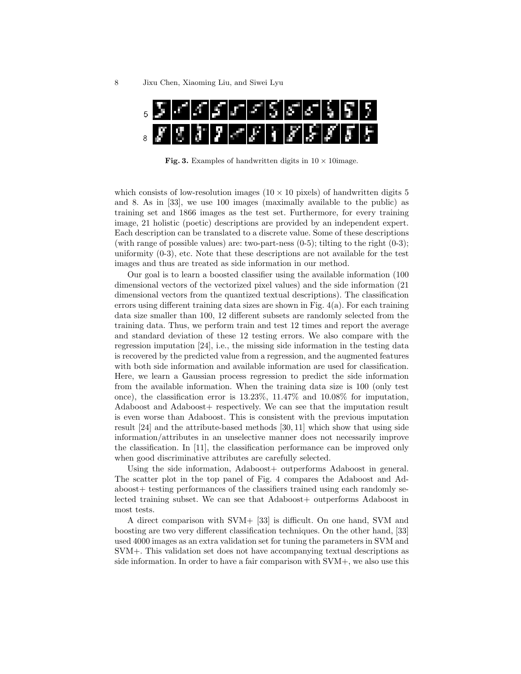

Fig. 3. Examples of handwritten digits in  $10 \times 10$  image.

which consists of low-resolution images  $(10 \times 10 \text{ pixels})$  of handwritten digits 5 and 8. As in [33], we use 100 images (maximally available to the public) as training set and 1866 images as the test set. Furthermore, for every training image, 21 holistic (poetic) descriptions are provided by an independent expert. Each description can be translated to a discrete value. Some of these descriptions (with range of possible values) are: two-part-ness  $(0-5)$ ; tilting to the right  $(0-3)$ ; uniformity (0-3), etc. Note that these descriptions are not available for the test images and thus are treated as side information in our method.

Our goal is to learn a boosted classifier using the available information (100 dimensional vectors of the vectorized pixel values) and the side information (21 dimensional vectors from the quantized textual descriptions). The classification errors using different training data sizes are shown in Fig. 4(a). For each training data size smaller than 100, 12 different subsets are randomly selected from the training data. Thus, we perform train and test 12 times and report the average and standard deviation of these 12 testing errors. We also compare with the regression imputation [24], i.e., the missing side information in the testing data is recovered by the predicted value from a regression, and the augmented features with both side information and available information are used for classification. Here, we learn a Gaussian process regression to predict the side information from the available information. When the training data size is 100 (only test once), the classification error is 13.23%, 11.47% and 10.08% for imputation, Adaboost and Adaboost+ respectively. We can see that the imputation result is even worse than Adaboost. This is consistent with the previous imputation result [24] and the attribute-based methods [30, 11] which show that using side information/attributes in an unselective manner does not necessarily improve the classification. In [11], the classification performance can be improved only when good discriminative attributes are carefully selected.

Using the side information, Adaboost + outperforms Adaboost in general. The scatter plot in the top panel of Fig. 4 compares the Adaboost and Adaboost+ testing performances of the classifiers trained using each randomly selected training subset. We can see that Adaboost+ outperforms Adaboost in most tests.

A direct comparison with SVM+ [33] is difficult. On one hand, SVM and boosting are two very different classification techniques. On the other hand, [33] used 4000 images as an extra validation set for tuning the parameters in SVM and SVM+. This validation set does not have accompanying textual descriptions as side information. In order to have a fair comparison with SVM+, we also use this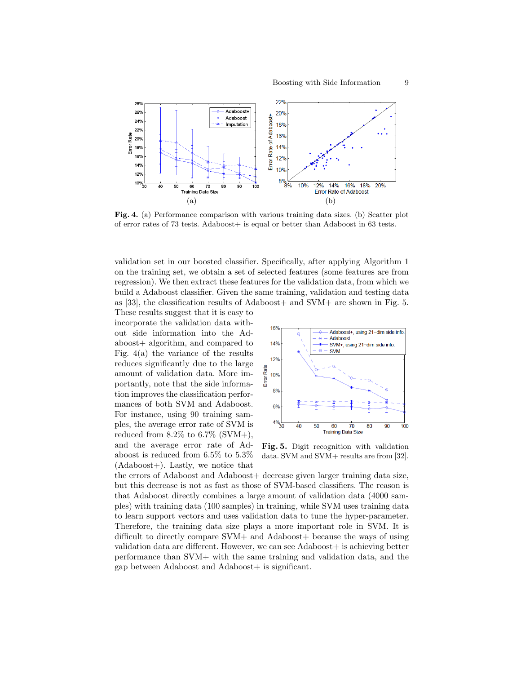

Fig. 4. (a) Performance comparison with various training data sizes. (b) Scatter plot of error rates of 73 tests. Adaboost+ is equal or better than Adaboost in 63 tests.

validation set in our boosted classifier. Specifically, after applying Algorithm 1 on the training set, we obtain a set of selected features (some features are from regression). We then extract these features for the validation data, from which we build a Adaboost classifier. Given the same training, validation and testing data as [33], the classification results of Adaboost+ and SVM+ are shown in Fig. 5.

These results suggest that it is easy to incorporate the validation data without side information into the Adaboost+ algorithm, and compared to Fig. 4(a) the variance of the results reduces significantly due to the large amount of validation data. More importantly, note that the side information improves the classification performances of both SVM and Adaboost. For instance, using 90 training samples, the average error rate of SVM is reduced from  $8.2\%$  to  $6.7\%$  (SVM+), and the average error rate of Adaboost is reduced from 6.5% to 5.3% (Adaboost+). Lastly, we notice that



Fig. 5. Digit recognition with validation data. SVM and SVM+ results are from [32].

the errors of Adaboost and Adaboost+ decrease given larger training data size, but this decrease is not as fast as those of SVM-based classifiers. The reason is that Adaboost directly combines a large amount of validation data (4000 samples) with training data (100 samples) in training, while SVM uses training data to learn support vectors and uses validation data to tune the hyper-parameter. Therefore, the training data size plays a more important role in SVM. It is difficult to directly compare SVM+ and Adaboost+ because the ways of using validation data are different. However, we can see Adaboost $+$  is achieving better performance than SVM+ with the same training and validation data, and the gap between Adaboost and Adaboost+ is significant.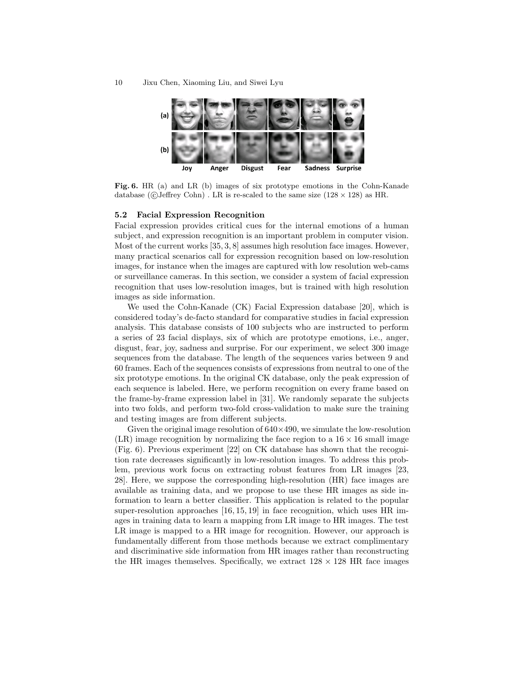10 Jixu Chen, Xiaoming Liu, and Siwei Lyu



Fig. 6. HR (a) and LR (b) images of six prototype emotions in the Cohn-Kanade database ( $\odot$ Jeffrey Cohn). LR is re-scaled to the same size (128  $\times$  128) as HR.

#### 5.2 Facial Expression Recognition

Facial expression provides critical cues for the internal emotions of a human subject, and expression recognition is an important problem in computer vision. Most of the current works [35, 3, 8] assumes high resolution face images. However, many practical scenarios call for expression recognition based on low-resolution images, for instance when the images are captured with low resolution web-cams or surveillance cameras. In this section, we consider a system of facial expression recognition that uses low-resolution images, but is trained with high resolution images as side information.

We used the Cohn-Kanade (CK) Facial Expression database [20], which is considered today's de-facto standard for comparative studies in facial expression analysis. This database consists of 100 subjects who are instructed to perform a series of 23 facial displays, six of which are prototype emotions, i.e., anger, disgust, fear, joy, sadness and surprise. For our experiment, we select 300 image sequences from the database. The length of the sequences varies between 9 and 60 frames. Each of the sequences consists of expressions from neutral to one of the six prototype emotions. In the original CK database, only the peak expression of each sequence is labeled. Here, we perform recognition on every frame based on the frame-by-frame expression label in [31]. We randomly separate the subjects into two folds, and perform two-fold cross-validation to make sure the training and testing images are from different subjects.

Given the original image resolution of  $640\times490$ , we simulate the low-resolution  $(LR)$  image recognition by normalizing the face region to a  $16 \times 16$  small image (Fig. 6). Previous experiment [22] on CK database has shown that the recognition rate decreases significantly in low-resolution images. To address this problem, previous work focus on extracting robust features from LR images [23, 28]. Here, we suppose the corresponding high-resolution (HR) face images are available as training data, and we propose to use these HR images as side information to learn a better classifier. This application is related to the popular super-resolution approaches [16, 15, 19] in face recognition, which uses HR images in training data to learn a mapping from LR image to HR images. The test LR image is mapped to a HR image for recognition. However, our approach is fundamentally different from those methods because we extract complimentary and discriminative side information from HR images rather than reconstructing the HR images themselves. Specifically, we extract  $128 \times 128$  HR face images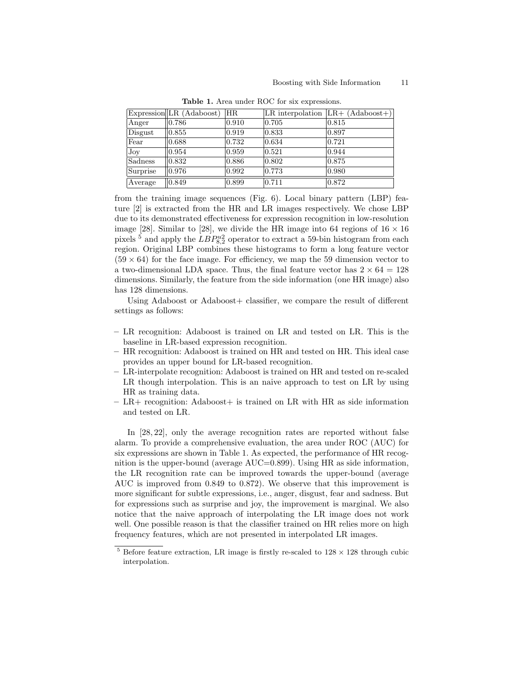|          | Expression LR (Adaboost) | <b>HR</b> |       | LR interpolation $ LR+ (Adabosat+)$ |
|----------|--------------------------|-----------|-------|-------------------------------------|
| Anger    | 0.786                    | 0.910     | 0.705 | 0.815                               |
| Disgust  | 0.855                    | 0.919     | 0.833 | 0.897                               |
| Fear     | 0.688                    | 0.732     | 0.634 | 0.721                               |
| Joy      | 0.954                    | 0.959     | 0.521 | 0.944                               |
| Sadness  | 0.832                    | 0.886     | 0.802 | 0.875                               |
| Surprise | 0.976                    | 0.992     | 0.773 | 0.980                               |
| Average  | 0.849                    | 0.899     | 0.711 | 0.872                               |

Table 1. Area under ROC for six expressions.

from the training image sequences (Fig. 6). Local binary pattern (LBP) feature [2] is extracted from the HR and LR images respectively. We chose LBP due to its demonstrated effectiveness for expression recognition in low-resolution image [28]. Similar to [28], we divide the HR image into 64 regions of  $16 \times 16$ pixels <sup>5</sup> and apply the  $LBP_{8,2}^{u2}$  operator to extract a 59-bin histogram from each region. Original LBP combines these histograms to form a long feature vector  $(59 \times 64)$  for the face image. For efficiency, we map the 59 dimension vector to a two-dimensional LDA space. Thus, the final feature vector has  $2 \times 64 = 128$ dimensions. Similarly, the feature from the side information (one HR image) also has 128 dimensions.

Using Adaboost or Adaboost + classifier, we compare the result of different settings as follows:

- LR recognition: Adaboost is trained on LR and tested on LR. This is the baseline in LR-based expression recognition.
- HR recognition: Adaboost is trained on HR and tested on HR. This ideal case provides an upper bound for LR-based recognition.
- LR-interpolate recognition: Adaboost is trained on HR and tested on re-scaled LR though interpolation. This is an naive approach to test on LR by using HR as training data.
- $-$  LR+ recognition: Adaboost is trained on LR with HR as side information and tested on LR.

In [28, 22], only the average recognition rates are reported without false alarm. To provide a comprehensive evaluation, the area under ROC (AUC) for six expressions are shown in Table 1. As expected, the performance of HR recognition is the upper-bound (average AUC=0.899). Using HR as side information, the LR recognition rate can be improved towards the upper-bound (average AUC is improved from 0.849 to 0.872). We observe that this improvement is more significant for subtle expressions, i.e., anger, disgust, fear and sadness. But for expressions such as surprise and joy, the improvement is marginal. We also notice that the naive approach of interpolating the LR image does not work well. One possible reason is that the classifier trained on HR relies more on high frequency features, which are not presented in interpolated LR images.

 $^5$  Before feature extraction, LR image is firstly re-scaled to  $128 \times 128$  through cubic interpolation.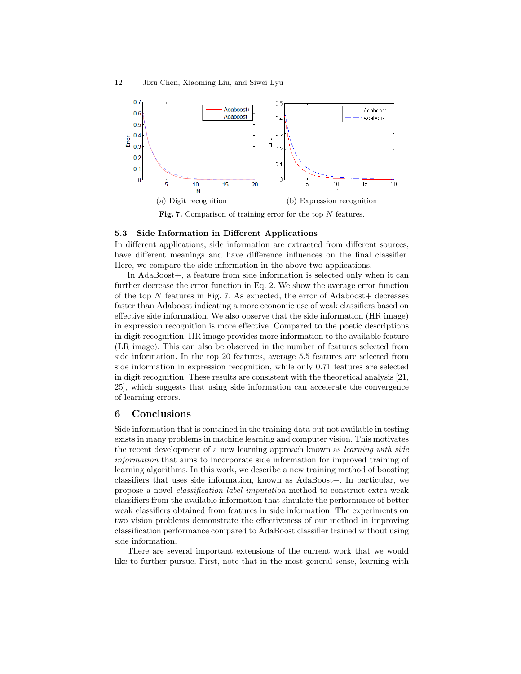

Fig. 7. Comparison of training error for the top  $N$  features.

### 5.3 Side Information in Different Applications

In different applications, side information are extracted from different sources, have different meanings and have difference influences on the final classifier. Here, we compare the side information in the above two applications.

In AdaBoost+, a feature from side information is selected only when it can further decrease the error function in Eq. 2. We show the average error function of the top N features in Fig. 7. As expected, the error of Adaboost + decreases faster than Adaboost indicating a more economic use of weak classifiers based on effective side information. We also observe that the side information (HR image) in expression recognition is more effective. Compared to the poetic descriptions in digit recognition, HR image provides more information to the available feature (LR image). This can also be observed in the number of features selected from side information. In the top 20 features, average 5.5 features are selected from side information in expression recognition, while only 0.71 features are selected in digit recognition. These results are consistent with the theoretical analysis [21, 25], which suggests that using side information can accelerate the convergence of learning errors.

# 6 Conclusions

Side information that is contained in the training data but not available in testing exists in many problems in machine learning and computer vision. This motivates the recent development of a new learning approach known as learning with side information that aims to incorporate side information for improved training of learning algorithms. In this work, we describe a new training method of boosting classifiers that uses side information, known as AdaBoost+. In particular, we propose a novel classification label imputation method to construct extra weak classifiers from the available information that simulate the performance of better weak classifiers obtained from features in side information. The experiments on two vision problems demonstrate the effectiveness of our method in improving classification performance compared to AdaBoost classifier trained without using side information.

There are several important extensions of the current work that we would like to further pursue. First, note that in the most general sense, learning with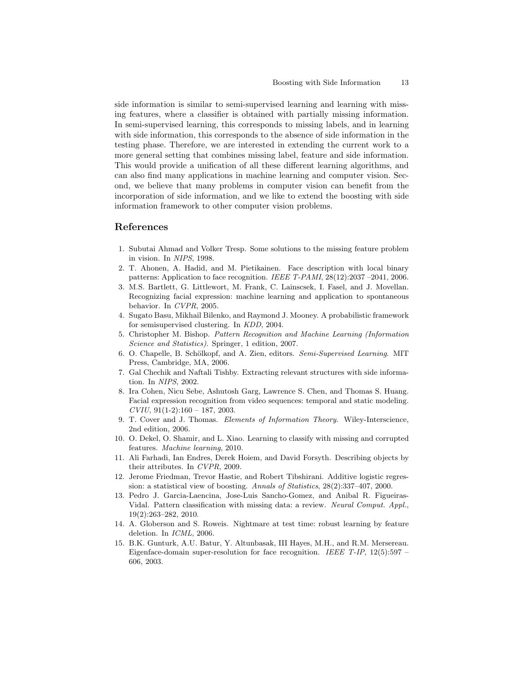side information is similar to semi-supervised learning and learning with missing features, where a classifier is obtained with partially missing information. In semi-supervised learning, this corresponds to missing labels, and in learning with side information, this corresponds to the absence of side information in the testing phase. Therefore, we are interested in extending the current work to a more general setting that combines missing label, feature and side information. This would provide a unification of all these different learning algorithms, and can also find many applications in machine learning and computer vision. Second, we believe that many problems in computer vision can benefit from the incorporation of side information, and we like to extend the boosting with side information framework to other computer vision problems.

# References

- 1. Subutai Ahmad and Volker Tresp. Some solutions to the missing feature problem in vision. In NIPS, 1998.
- 2. T. Ahonen, A. Hadid, and M. Pietikainen. Face description with local binary patterns: Application to face recognition. IEEE T-PAMI, 28(12):2037 –2041, 2006.
- 3. M.S. Bartlett, G. Littlewort, M. Frank, C. Lainscsek, I. Fasel, and J. Movellan. Recognizing facial expression: machine learning and application to spontaneous behavior. In CVPR, 2005.
- 4. Sugato Basu, Mikhail Bilenko, and Raymond J. Mooney. A probabilistic framework for semisupervised clustering. In KDD, 2004.
- 5. Christopher M. Bishop. Pattern Recognition and Machine Learning (Information Science and Statistics). Springer, 1 edition, 2007.
- 6. O. Chapelle, B. Schölkopf, and A. Zien, editors. Semi-Supervised Learning. MIT Press, Cambridge, MA, 2006.
- 7. Gal Chechik and Naftali Tishby. Extracting relevant structures with side information. In NIPS, 2002.
- 8. Ira Cohen, Nicu Sebe, Ashutosh Garg, Lawrence S. Chen, and Thomas S. Huang. Facial expression recognition from video sequences: temporal and static modeling.  $CVIU$ , 91(1-2):160 – 187, 2003.
- 9. T. Cover and J. Thomas. Elements of Information Theory. Wiley-Interscience, 2nd edition, 2006.
- 10. O. Dekel, O. Shamir, and L. Xiao. Learning to classify with missing and corrupted features. Machine learning, 2010.
- 11. Ali Farhadi, Ian Endres, Derek Hoiem, and David Forsyth. Describing objects by their attributes. In CVPR, 2009.
- 12. Jerome Friedman, Trevor Hastie, and Robert Tibshirani. Additive logistic regression: a statistical view of boosting. Annals of Statistics, 28(2):337–407, 2000.
- 13. Pedro J. Garcia-Laencina, Jose-Luis Sancho-Gomez, and Anibal R. Figueiras-Vidal. Pattern classification with missing data: a review. Neural Comput. Appl., 19(2):263–282, 2010.
- 14. A. Globerson and S. Roweis. Nightmare at test time: robust learning by feature deletion. In ICML, 2006.
- 15. B.K. Gunturk, A.U. Batur, Y. Altunbasak, III Hayes, M.H., and R.M. Mersereau. Eigenface-domain super-resolution for face recognition. IEEE T-IP, 12(5):597 – 606, 2003.